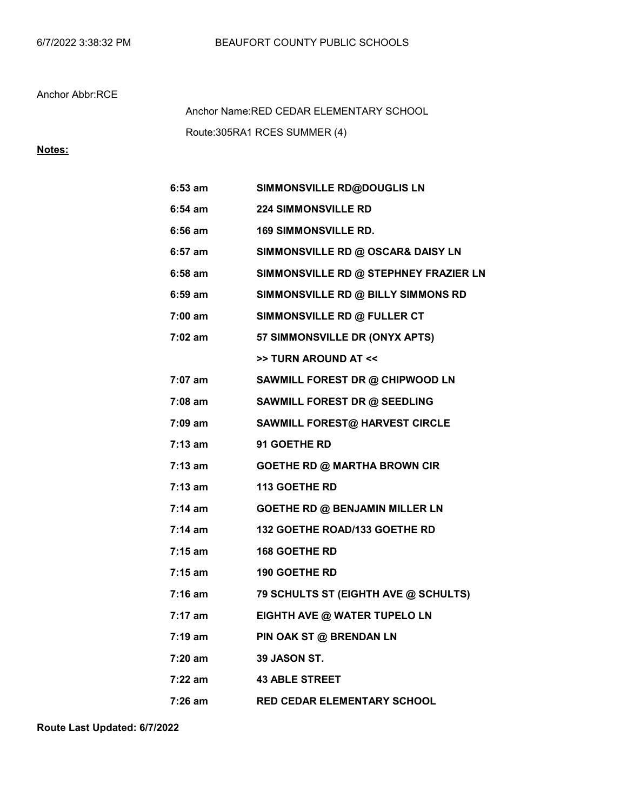## Anchor Abbr:RCE

Route:305RA1 RCES SUMMER (4) Anchor Name:RED CEDAR ELEMENTARY SCHOOL

# Notes:

| $6:53$ am         | SIMMONSVILLE RD@DOUGLIS LN            |
|-------------------|---------------------------------------|
| 6:54 am           | <b>224 SIMMONSVILLE RD</b>            |
| 6:56 am           | <b>169 SIMMONSVILLE RD.</b>           |
| 6:57 am           | SIMMONSVILLE RD @ OSCAR& DAISY LN     |
| 6:58 am           | SIMMONSVILLE RD @ STEPHNEY FRAZIER LN |
| 6:59 am           | SIMMONSVILLE RD @ BILLY SIMMONS RD    |
| 7:00 am           | SIMMONSVILLE RD @ FULLER CT           |
| 7:02 am           | <b>57 SIMMONSVILLE DR (ONYX APTS)</b> |
|                   | >> TURN AROUND AT <<                  |
| 7:07 am           | SAWMILL FOREST DR @ CHIPWOOD LN       |
| 7:08 am           | SAWMILL FOREST DR @ SEEDLING          |
| 7:09 am           | <b>SAWMILL FOREST@ HARVEST CIRCLE</b> |
| 7:13 am           | 91 GOETHE RD                          |
| $7:13$ am         | <b>GOETHE RD @ MARTHA BROWN CIR</b>   |
| $7:13$ am         | <b>113 GOETHE RD</b>                  |
| $7:14$ am         | <b>GOETHE RD @ BENJAMIN MILLER LN</b> |
| $7:14 \text{ am}$ | 132 GOETHE ROAD/133 GOETHE RD         |
| $7:15$ am         | 168 GOETHE RD                         |
| 7:15 am           | <b>190 GOETHE RD</b>                  |
| $7:16$ am         | 79 SCHULTS ST (EIGHTH AVE @ SCHULTS)  |
| $7:17$ am         | EIGHTH AVE @ WATER TUPELO LN          |
| 7:19 am           | PIN OAK ST @ BRENDAN LN               |
| 7:20 am           | 39 JASON ST.                          |
| 7:22 am           | <b>43 ABLE STREET</b>                 |
| 7:26 am           | <b>RED CEDAR ELEMENTARY SCHOOL</b>    |

Route Last Updated: 6/7/2022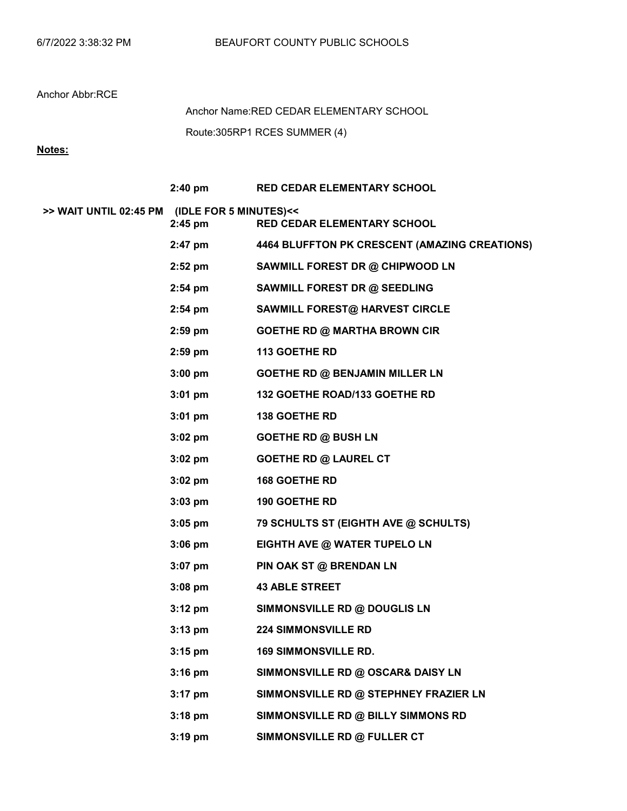## Anchor Abbr:RCE

Route:305RP1 RCES SUMMER (4) Anchor Name:RED CEDAR ELEMENTARY SCHOOL

# Notes:

|                                               |                    | 2:40 pm RED CEDAR ELEMENTARY SCHOOL                   |
|-----------------------------------------------|--------------------|-------------------------------------------------------|
| >> WAIT UNTIL 02:45 PM (IDLE FOR 5 MINUTES)<< | $2:45$ pm          | RED CEDAR ELEMENTARY SCHOOL                           |
|                                               |                    | 2:47 pm 4464 BLUFFTON PK CRESCENT (AMAZING CREATIONS) |
|                                               | 2:52 pm            | SAWMILL FOREST DR @ CHIPWOOD LN                       |
|                                               | $2:54 \text{ pm}$  | SAWMILL FOREST DR @ SEEDLING                          |
|                                               | $2:54 \text{ pm}$  | <b>SAWMILL FOREST@ HARVEST CIRCLE</b>                 |
|                                               | $2:59$ pm          | <b>GOETHE RD @ MARTHA BROWN CIR</b>                   |
|                                               | $2:59$ pm          | <b>113 GOETHE RD</b>                                  |
|                                               | $3:00 \text{ pm}$  | <b>GOETHE RD @ BENJAMIN MILLER LN</b>                 |
|                                               | $3:01 \text{ pm}$  | 132 GOETHE ROAD/133 GOETHE RD                         |
|                                               | $3:01 \text{ pm}$  | <b>138 GOETHE RD</b>                                  |
|                                               | $3:02$ pm          | <b>GOETHE RD @ BUSH LN</b>                            |
|                                               | $3:02~\mathrm{pm}$ | <b>GOETHE RD @ LAUREL CT</b>                          |
|                                               | $3:02 \text{ pm}$  | <b>168 GOETHE RD</b>                                  |
|                                               | $3:03$ pm          | <b>190 GOETHE RD</b>                                  |
|                                               | $3:05 \text{ pm}$  | 79 SCHULTS ST (EIGHTH AVE @ SCHULTS)                  |
|                                               | $3:06 \text{ pm}$  | EIGHTH AVE @ WATER TUPELO LN                          |
|                                               | $3:07$ pm          | PIN OAK ST @ BRENDAN LN                               |
|                                               | $3:08 \text{ pm}$  | <b>43 ABLE STREET</b>                                 |
|                                               | $3:12 \text{ pm}$  | SIMMONSVILLE RD @ DOUGLIS LN                          |
|                                               | $3:13 \text{ pm}$  | <b>224 SIMMONSVILLE RD</b>                            |
|                                               | $3:15$ pm          | <b>169 SIMMONSVILLE RD.</b>                           |
|                                               | $3:16$ pm          | SIMMONSVILLE RD @ OSCAR& DAISY LN                     |
|                                               | $3:17$ pm          | SIMMONSVILLE RD @ STEPHNEY FRAZIER LN                 |
|                                               | $3:18$ pm          | SIMMONSVILLE RD @ BILLY SIMMONS RD                    |
|                                               | $3:19$ pm          | SIMMONSVILLE RD @ FULLER CT                           |